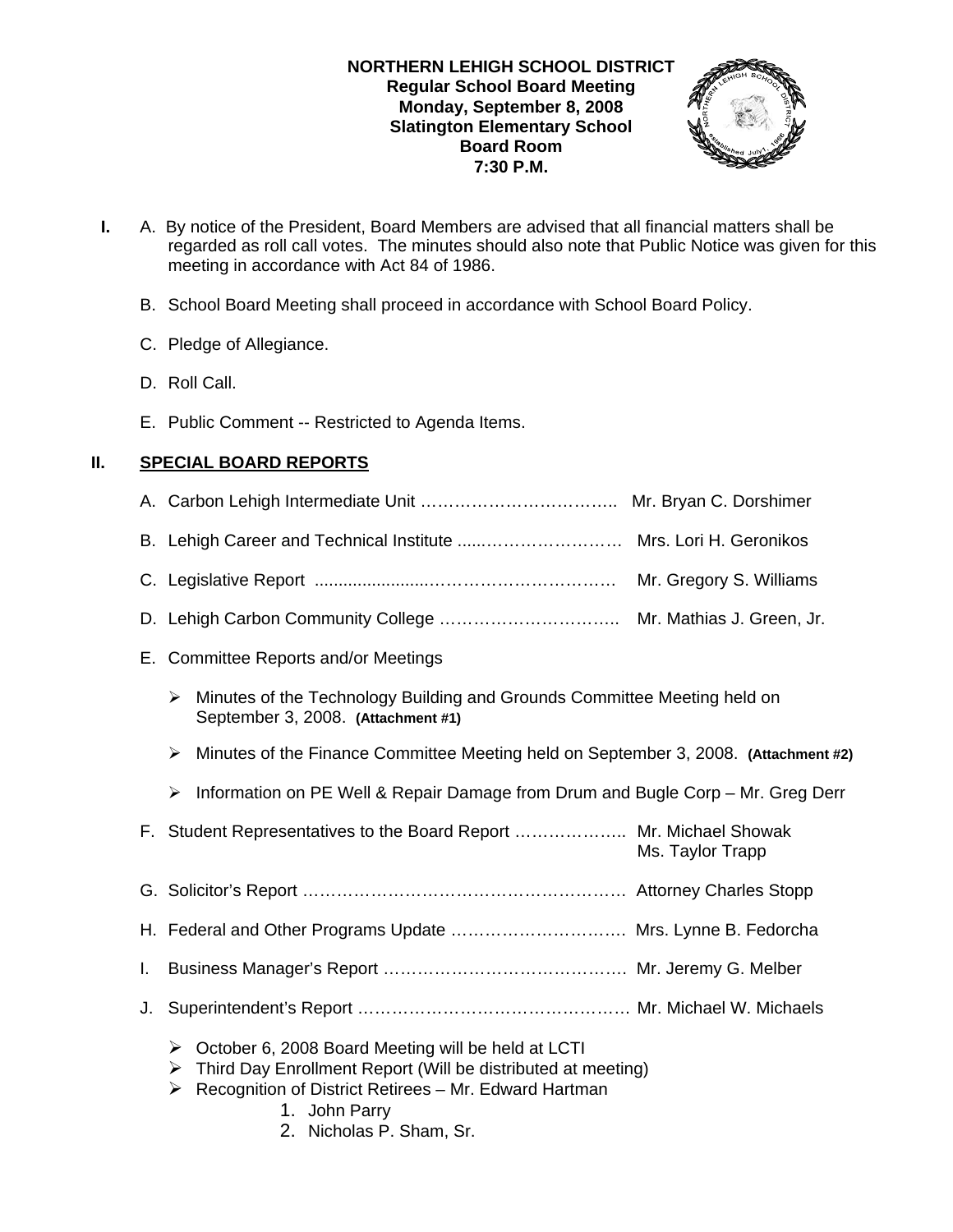## **NORTHERN LEHIGH SCHOOL DISTRICT Regular School Board Meeting Monday, September 8, 2008 Slatington Elementary School Board Room 7:30 P.M.**



- **I.** A. By notice of the President, Board Members are advised that all financial matters shall be regarded as roll call votes. The minutes should also note that Public Notice was given for this meeting in accordance with Act 84 of 1986.
	- B. School Board Meeting shall proceed in accordance with School Board Policy.
	- C. Pledge of Allegiance.
	- D. Roll Call.
	- E. Public Comment -- Restricted to Agenda Items.

# **II. SPECIAL BOARD REPORTS**

|    | Mr. Gregory S. Williams                                                                                                                                                                                     |  |  |
|----|-------------------------------------------------------------------------------------------------------------------------------------------------------------------------------------------------------------|--|--|
|    |                                                                                                                                                                                                             |  |  |
|    | E. Committee Reports and/or Meetings                                                                                                                                                                        |  |  |
|    | Minutes of the Technology Building and Grounds Committee Meeting held on<br>➤<br>September 3, 2008. (Attachment #1)                                                                                         |  |  |
|    | Minutes of the Finance Committee Meeting held on September 3, 2008. (Attachment #2)<br>➤                                                                                                                    |  |  |
|    | Information on PE Well & Repair Damage from Drum and Bugle Corp - Mr. Greg Derr<br>$\blacktriangleright$                                                                                                    |  |  |
|    | F. Student Representatives to the Board Report  Mr. Michael Showak<br>Ms. Taylor Trapp                                                                                                                      |  |  |
|    |                                                                                                                                                                                                             |  |  |
|    | H. Federal and Other Programs Update  Mrs. Lynne B. Fedorcha                                                                                                                                                |  |  |
| I. |                                                                                                                                                                                                             |  |  |
| J. |                                                                                                                                                                                                             |  |  |
|    | October 6, 2008 Board Meeting will be held at LCTI<br>➤<br>Third Day Enrollment Report (Will be distributed at meeting)<br>➤<br>Recognition of District Retirees - Mr. Edward Hartman<br>➤<br>1. John Parry |  |  |

2. Nicholas P. Sham, Sr.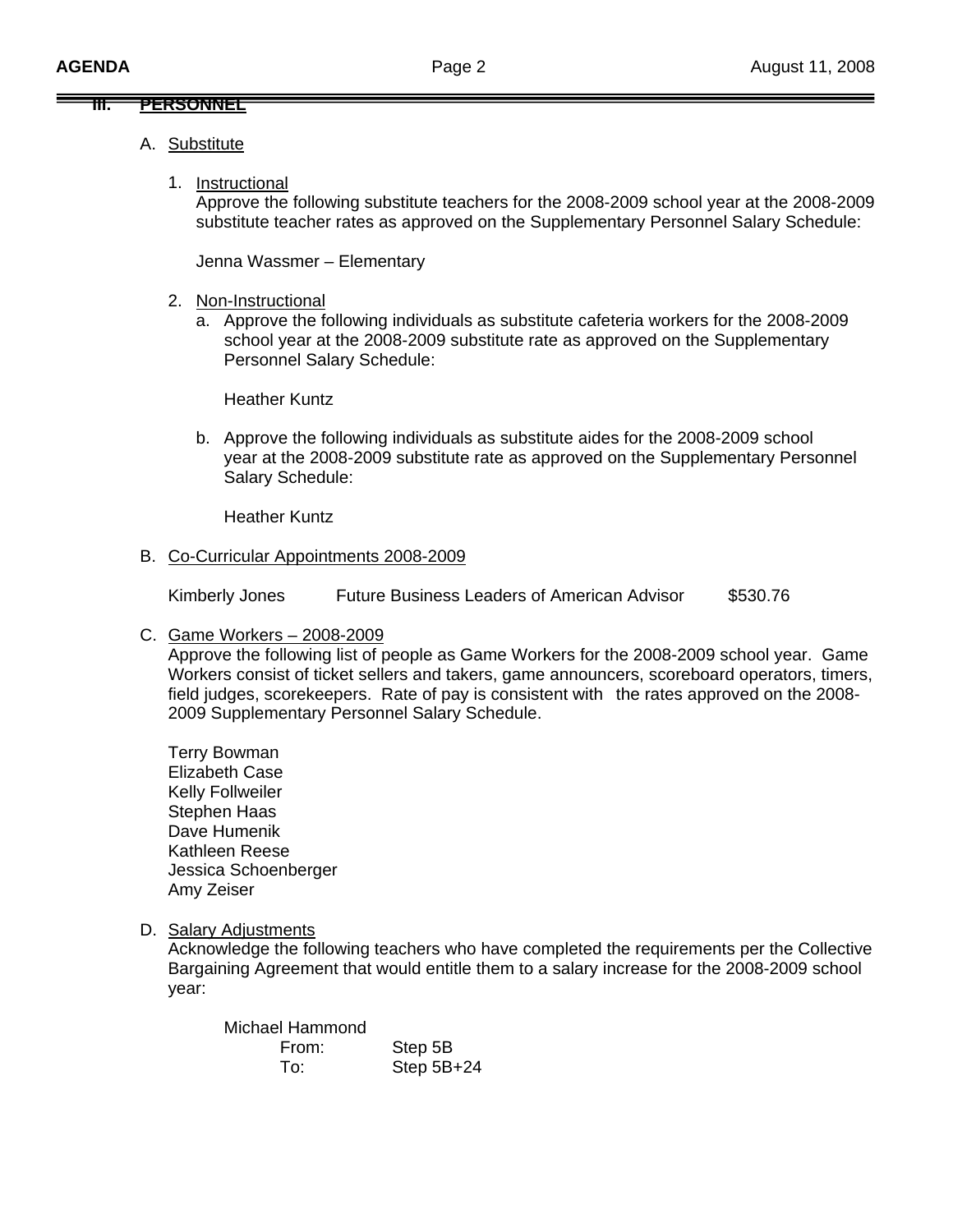### **III. PERSONNEL**

- A. Substitute
	- 1. Instructional

Approve the following substitute teachers for the 2008-2009 school year at the 2008-2009 substitute teacher rates as approved on the Supplementary Personnel Salary Schedule:

Jenna Wassmer – Elementary

- 2. Non-Instructional
	- a. Approve the following individuals as substitute cafeteria workers for the 2008-2009 school year at the 2008-2009 substitute rate as approved on the Supplementary Personnel Salary Schedule:

Heather Kuntz

b. Approve the following individuals as substitute aides for the 2008-2009 school year at the 2008-2009 substitute rate as approved on the Supplementary Personnel Salary Schedule:

Heather Kuntz

### B. Co-Curricular Appointments 2008-2009

Kimberly Jones Future Business Leaders of American Advisor \$530.76

C. Game Workers – 2008-2009

 Approve the following list of people as Game Workers for the 2008-2009 school year. Game Workers consist of ticket sellers and takers, game announcers, scoreboard operators, timers, field judges, scorekeepers. Rate of pay is consistent with the rates approved on the 2008- 2009 Supplementary Personnel Salary Schedule.

 Terry Bowman Elizabeth Case Kelly Follweiler Stephen Haas Dave Humenik Kathleen Reese Jessica Schoenberger Amy Zeiser

D. Salary Adjustments

Acknowledge the following teachers who have completed the requirements per the Collective Bargaining Agreement that would entitle them to a salary increase for the 2008-2009 school year:

| Michael Hammond |              |
|-----------------|--------------|
| From:           | Step 5B      |
| To∶             | Step $5B+24$ |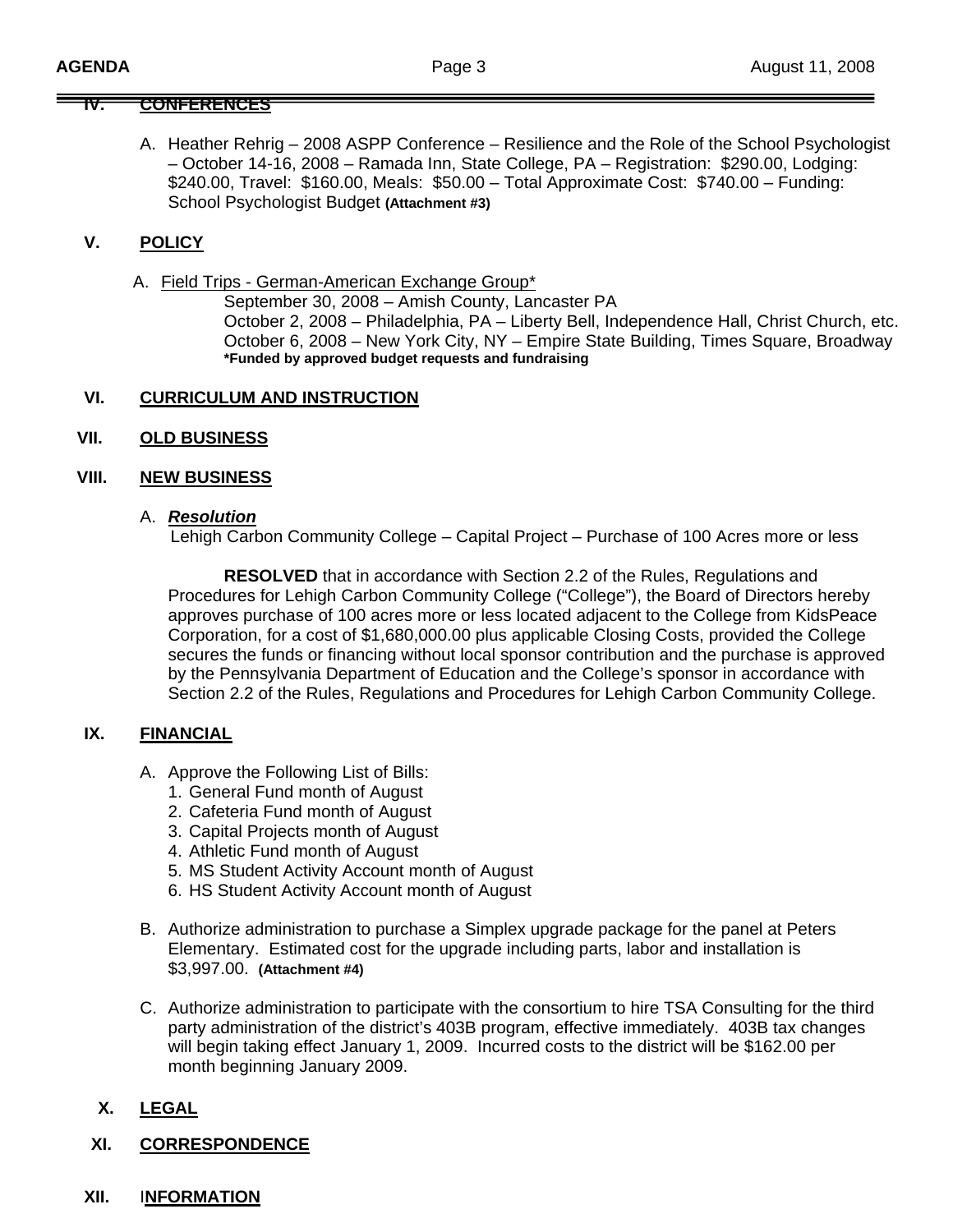## **IV. CONFERENCES**

A. Heather Rehrig – 2008 ASPP Conference – Resilience and the Role of the School Psychologist – October 14-16, 2008 – Ramada Inn, State College, PA – Registration: \$290.00, Lodging: \$240.00, Travel: \$160.00, Meals: \$50.00 – Total Approximate Cost: \$740.00 – Funding: School Psychologist Budget **(Attachment #3)**

## **V. POLICY**

A. Field Trips - German-American Exchange Group\*

 September 30, 2008 – Amish County, Lancaster PA October 2, 2008 – Philadelphia, PA – Liberty Bell, Independence Hall, Christ Church, etc. October 6, 2008 – New York City, NY – Empire State Building, Times Square, Broadway **\*Funded by approved budget requests and fundraising** 

#### **VI. CURRICULUM AND INSTRUCTION**

**VII. OLD BUSINESS**

#### **VIII. NEW BUSINESS**

#### A. *Resolution*

Lehigh Carbon Community College – Capital Project – Purchase of 100 Acres more or less

**RESOLVED** that in accordance with Section 2.2 of the Rules, Regulations and Procedures for Lehigh Carbon Community College ("College"), the Board of Directors hereby approves purchase of 100 acres more or less located adjacent to the College from KidsPeace Corporation, for a cost of \$1,680,000.00 plus applicable Closing Costs, provided the College secures the funds or financing without local sponsor contribution and the purchase is approved by the Pennsylvania Department of Education and the College's sponsor in accordance with Section 2.2 of the Rules, Regulations and Procedures for Lehigh Carbon Community College.

### **IX. FINANCIAL**

- A. Approve the Following List of Bills:
	- 1. General Fund month of August
	- 2. Cafeteria Fund month of August
	- 3. Capital Projects month of August
	- 4. Athletic Fund month of August
	- 5. MS Student Activity Account month of August
	- 6. HS Student Activity Account month of August
- B. Authorize administration to purchase a Simplex upgrade package for the panel at Peters Elementary. Estimated cost for the upgrade including parts, labor and installation is \$3,997.00. **(Attachment #4)**
- C. Authorize administration to participate with the consortium to hire TSA Consulting for the third party administration of the district's 403B program, effective immediately. 403B tax changes will begin taking effect January 1, 2009. Incurred costs to the district will be \$162.00 per month beginning January 2009.

## **X. LEGAL**

**XI. CORRESPONDENCE**

### **XII.** I**NFORMATION**